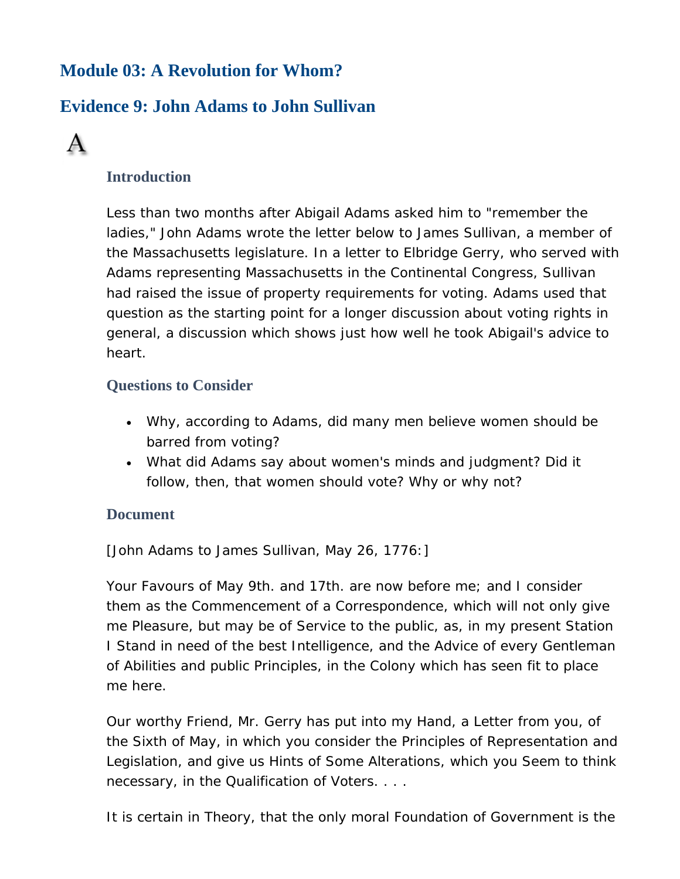## **Module 03: A Revolution for Whom?**

# **Evidence 9: John Adams to John Sullivan**



### **Introduction**

Less than two months after Abigail Adams asked him to "remember the ladies," John Adams wrote the letter below to James Sullivan, a member of the Massachusetts legislature. In a letter to Elbridge Gerry, who served with Adams representing Massachusetts in the Continental Congress, Sullivan had raised the issue of property requirements for voting. Adams used that question as the starting point for a longer discussion about voting rights in general, a discussion which shows just how well he took Abigail's advice to heart.

### **Questions to Consider**

- Why, according to Adams, did many men believe women should be barred from voting?
- What did Adams say about women's minds and judgment? Did it follow, then, that women should vote? Why or why not?

#### **Document**

[John Adams to James Sullivan, May 26, 1776:]

Your Favours of May 9th. and 17th. are now before me; and I consider them as the Commencement of a Correspondence, which will not only give me Pleasure, but may be of Service to the public, as, in my present Station I Stand in need of the best Intelligence, and the Advice of every Gentleman of Abilities and public Principles, in the Colony which has seen fit to place me here.

Our worthy Friend, Mr. Gerry has put into my Hand, a Letter from you, of the Sixth of May, in which you consider the Principles of Representation and Legislation, and give us Hints of Some Alterations, which you Seem to think necessary, in the Qualification of Voters. . . .

It is certain in Theory, that the only moral Foundation of Government is the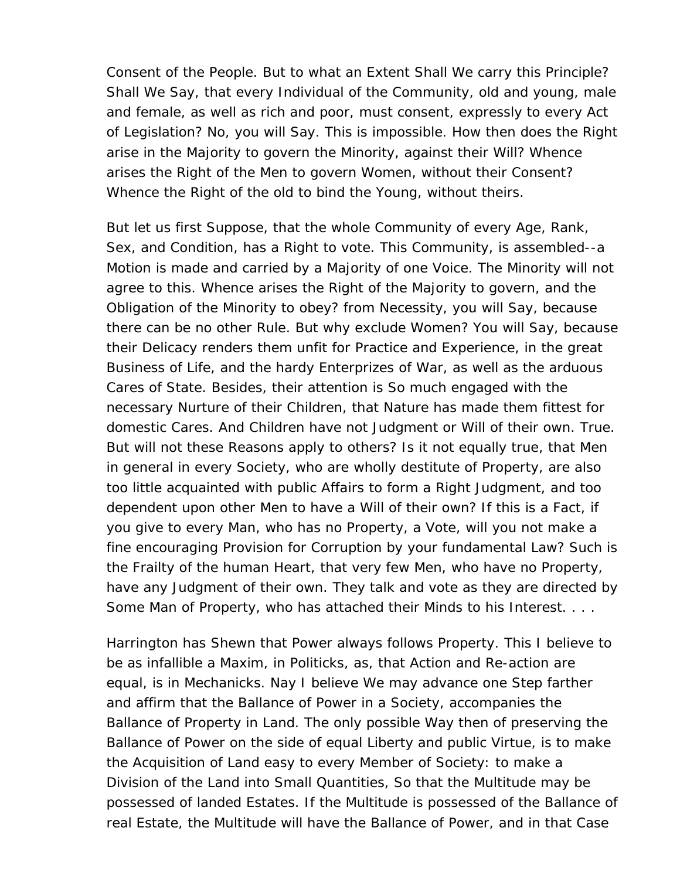Consent of the People. But to what an Extent Shall We carry this Principle? Shall We Say, that every Individual of the Community, old and young, male and female, as well as rich and poor, must consent, expressly to every Act of Legislation? No, you will Say. This is impossible. How then does the Right arise in the Majority to govern the Minority, against their Will? Whence arises the Right of the Men to govern Women, without their Consent? Whence the Right of the old to bind the Young, without theirs.

But let us first Suppose, that the whole Community of every Age, Rank, Sex, and Condition, has a Right to vote. This Community, is assembled--a Motion is made and carried by a Majority of one Voice. The Minority will not agree to this. Whence arises the Right of the Majority to govern, and the Obligation of the Minority to obey? from Necessity, you will Say, because there can be no other Rule. But why exclude Women? You will Say, because their Delicacy renders them unfit for Practice and Experience, in the great Business of Life, and the hardy Enterprizes of War, as well as the arduous Cares of State. Besides, their attention is So much engaged with the necessary Nurture of their Children, that Nature has made them fittest for domestic Cares. And Children have not Judgment or Will of their own. True. But will not these Reasons apply to others? Is it not equally true, that Men in general in every Society, who are wholly destitute of Property, are also too little acquainted with public Affairs to form a Right Judgment, and too dependent upon other Men to have a Will of their own? If this is a Fact, if you give to every Man, who has no Property, a Vote, will you not make a fine encouraging Provision for Corruption by your fundamental Law? Such is the Frailty of the human Heart, that very few Men, who have no Property, have any Judgment of their own. They talk and vote as they are directed by Some Man of Property, who has attached their Minds to his Interest. . . .

Harrington has Shewn that Power always follows Property. This I believe to be as infallible a Maxim, in Politicks, as, that Action and Re-action are equal, is in Mechanicks. Nay I believe We may advance one Step farther and affirm that the Ballance of Power in a Society, accompanies the Ballance of Property in Land. The only possible Way then of preserving the Ballance of Power on the side of equal Liberty and public Virtue, is to make the Acquisition of Land easy to every Member of Society: to make a Division of the Land into Small Quantities, So that the Multitude may be possessed of landed Estates. If the Multitude is possessed of the Ballance of real Estate, the Multitude will have the Ballance of Power, and in that Case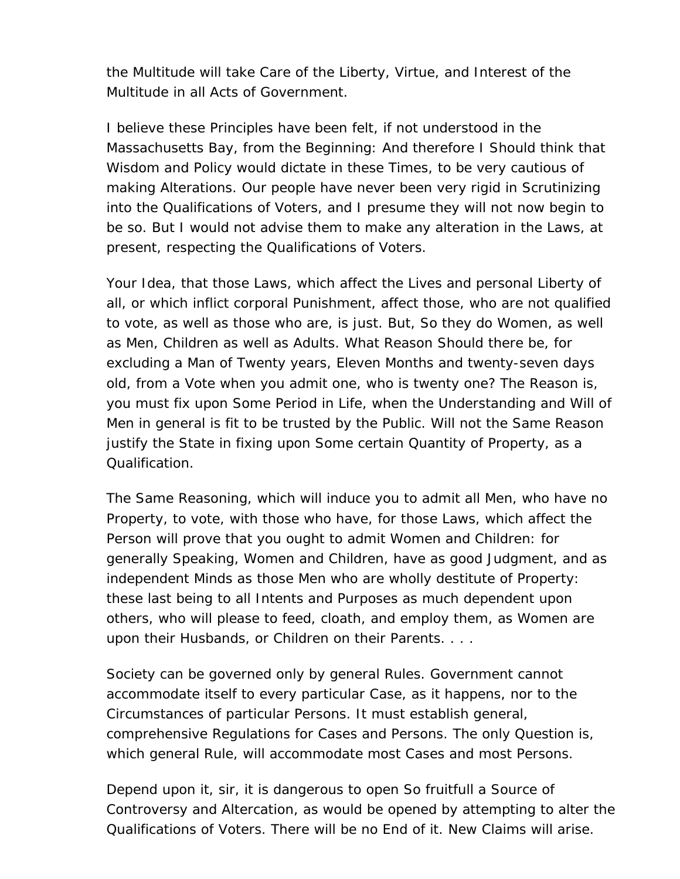the Multitude will take Care of the Liberty, Virtue, and Interest of the Multitude in all Acts of Government.

I believe these Principles have been felt, if not understood in the Massachusetts Bay, from the Beginning: And therefore I Should think that Wisdom and Policy would dictate in these Times, to be very cautious of making Alterations. Our people have never been very rigid in Scrutinizing into the Qualifications of Voters, and I presume they will not now begin to be so. But I would not advise them to make any alteration in the Laws, at present, respecting the Qualifications of Voters.

Your Idea, that those Laws, which affect the Lives and personal Liberty of all, or which inflict corporal Punishment, affect those, who are not qualified to vote, as well as those who are, is just. But, So they do Women, as well as Men, Children as well as Adults. What Reason Should there be, for excluding a Man of Twenty years, Eleven Months and twenty-seven days old, from a Vote when you admit one, who is twenty one? The Reason is, you must fix upon Some Period in Life, when the Understanding and Will of Men in general is fit to be trusted by the Public. Will not the Same Reason justify the State in fixing upon Some certain Quantity of Property, as a Qualification.

The Same Reasoning, which will induce you to admit all Men, who have no Property, to vote, with those who have, for those Laws, which affect the Person will prove that you ought to admit Women and Children: for generally Speaking, Women and Children, have as good Judgment, and as independent Minds as those Men who are wholly destitute of Property: these last being to all Intents and Purposes as much dependent upon others, who will please to feed, cloath, and employ them, as Women are upon their Husbands, or Children on their Parents. . . .

Society can be governed only by general Rules. Government cannot accommodate itself to every particular Case, as it happens, nor to the Circumstances of particular Persons. It must establish general, comprehensive Regulations for Cases and Persons. The only Question is, which general Rule, will accommodate most Cases and most Persons.

Depend upon it, sir, it is dangerous to open So fruitfull a Source of Controversy and Altercation, as would be opened by attempting to alter the Qualifications of Voters. There will be no End of it. New Claims will arise.